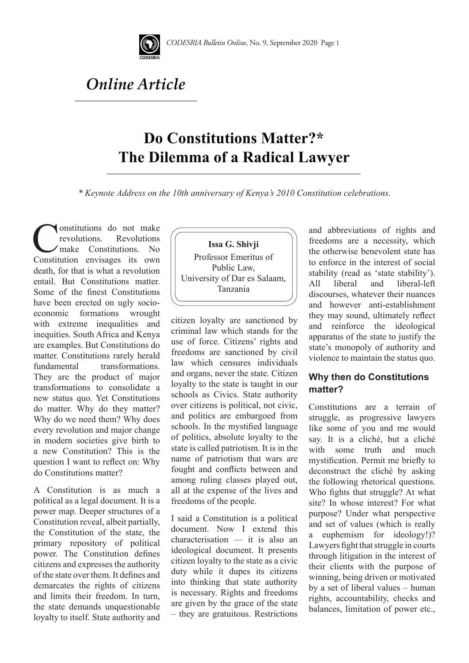

## *Online Article*

## **Do Constitutions Matter?\* The Dilemma of a Radical Lawyer**

*\* Keynote Address on the 10th anniversary of Kenya's 2010 Constitution celebrations.* 

**Constitutions** do not make **Revolutions** make Constitutions. No Constitution envisages its own death, for that is what a revolution entail. But Constitutions matter. Some of the finest Constitutions have been erected on ugly socioeconomic formations wrought with extreme inequalities and inequities. South Africa and Kenya are examples. But Constitutions do matter. Constitutions rarely herald fundamental transformations. They are the product of major transformations to consolidate a new status quo. Yet Constitutions do matter. Why do they matter? Why do we need them? Why does every revolution and major change in modern societies give birth to a new Constitution? This is the question I want to reflect on: Why do Constitutions matter?

A Constitution is as much a political as a legal document. It is a power map. Deeper structures of a Constitution reveal, albeit partially, the Constitution of the state, the primary repository of political power. The Constitution defines citizens and expresses the authority of the state over them. It defines and demarcates the rights of citizens and limits their freedom. In turn, the state demands unquestionable loyalty to itself. State authority and



citizen loyalty are sanctioned by criminal law which stands for the use of force. Citizens' rights and freedoms are sanctioned by civil law which censures individuals and organs, never the state. Citizen loyalty to the state is taught in our schools as Civics. State authority over citizens is political, not civic, and politics are embargoed from schools. In the mystified language of politics, absolute loyalty to the state is called patriotism. It is in the name of patriotism that wars are fought and conflicts between and among ruling classes played out, all at the expense of the lives and freedoms of the people.

I said a Constitution is a political document. Now I extend this characterisation — it is also an ideological document. It presents citizen loyalty to the state as a civic duty while it dupes its citizens into thinking that state authority is necessary. Rights and freedoms are given by the grace of the state – they are gratuitous. Restrictions and abbreviations of rights and freedoms are a necessity, which the otherwise benevolent state has to enforce in the interest of social stability (read as 'state stability'). All liberal and liberal-left discourses, whatever their nuances and however anti-establishment they may sound, ultimately reflect and reinforce the ideological apparatus of the state to justify the state's monopoly of authority and violence to maintain the status quo.

## **Why then do Constitutions matter?**

Constitutions are a terrain of struggle, as progressive lawyers like some of you and me would say. It is a cliché, but a cliché with some truth and much mystification. Permit me briefly to deconstruct the cliché by asking the following rhetorical questions. Who fights that struggle? At what site? In whose interest? For what purpose? Under what perspective and set of values (which is really a euphemism for ideology!)? Lawyers fight that struggle in courts through litigation in the interest of their clients with the purpose of winning, being driven or motivated by a set of liberal values – human rights, accountability, checks and balances, limitation of power etc.,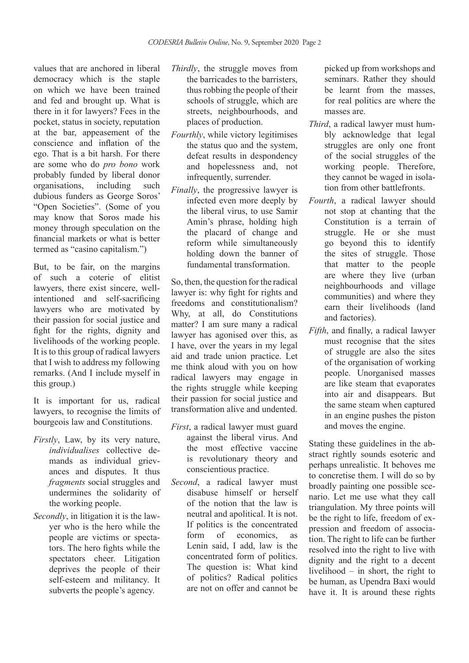values that are anchored in liberal democracy which is the staple on which we have been trained and fed and brought up. What is there in it for lawyers? Fees in the pocket, status in society, reputation at the bar, appeasement of the conscience and inflation of the ego. That is a bit harsh. For there are some who do *pro bono* work probably funded by liberal donor<br>organisations. including such organisations, including such dubious funders as George Soros' "Open Societies". (Some of you may know that Soros made his money through speculation on the financial markets or what is better termed as "casino capitalism.")

But, to be fair, on the margins of such a coterie of elitist lawyers, there exist sincere, wellintentioned and self-sacrificing lawyers who are motivated by their passion for social justice and fight for the rights, dignity and livelihoods of the working people. It is to this group of radical lawyers that I wish to address my following remarks. (And I include myself in this group.)

It is important for us, radical lawyers, to recognise the limits of bourgeois law and Constitutions.

- *Firstly*, Law, by its very nature, *individualises* collective demands as individual grievances and disputes. It thus *fragments* social struggles and undermines the solidarity of the working people.
- *Secondly*, in litigation it is the lawyer who is the hero while the people are victims or spectators. The hero fights while the spectators cheer. Litigation deprives the people of their self-esteem and militancy. It subverts the people's agency.
- *Thirdly*, the struggle moves from the barricades to the barristers, thus robbing the people of their schools of struggle, which are streets, neighbourhoods, and places of production.
- *Fourthly*, while victory legitimises the status quo and the system, defeat results in despondency and hopelessness and, not infrequently, surrender.
- *Finally*, the progressive lawyer is infected even more deeply by the liberal virus, to use Samir Amin's phrase, holding high the placard of change and reform while simultaneously holding down the banner of fundamental transformation.

So, then, the question for the radical lawyer is: why fight for rights and freedoms and constitutionalism? Why, at all, do Constitutions matter? I am sure many a radical lawyer has agonised over this, as I have, over the years in my legal aid and trade union practice. Let me think aloud with you on how radical lawyers may engage in the rights struggle while keeping their passion for social justice and transformation alive and undented.

- *First*, a radical lawyer must guard against the liberal virus. And the most effective vaccine is revolutionary theory and conscientious practice.
- *Second*, a radical lawyer must disabuse himself or herself of the notion that the law is neutral and apolitical. It is not. If politics is the concentrated form of economics, as Lenin said, I add, law is the concentrated form of politics. The question is: What kind of politics? Radical politics are not on offer and cannot be

picked up from workshops and seminars. Rather they should be learnt from the masses, for real politics are where the masses are.

- *Third*, a radical lawyer must humbly acknowledge that legal struggles are only one front of the social struggles of the working people. Therefore, they cannot be waged in isolation from other battlefronts.
- *Fourth*, a radical lawyer should not stop at chanting that the Constitution is a terrain of struggle. He or she must go beyond this to identify the sites of struggle. Those that matter to the people are where they live (urban neighbourhoods and village communities) and where they earn their livelihoods (land and factories).
- *Fifth*, and finally, a radical lawyer must recognise that the sites of struggle are also the sites of the organisation of working people. Unorganised masses are like steam that evaporates into air and disappears. But the same steam when captured in an engine pushes the piston and moves the engine.

Stating these guidelines in the abstract rightly sounds esoteric and perhaps unrealistic. It behoves me to concretise them. I will do so by broadly painting one possible scenario. Let me use what they call triangulation. My three points will be the right to life, freedom of expression and freedom of association. The right to life can be further resolved into the right to live with dignity and the right to a decent livelihood – in short, the right to be human, as Upendra Baxi would have it. It is around these rights